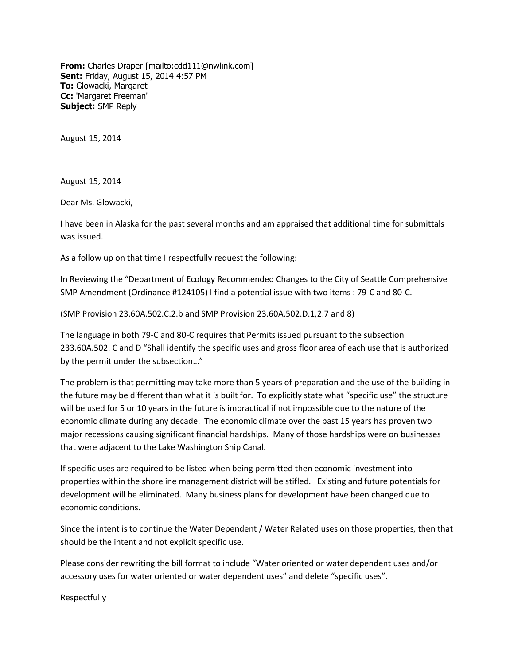**From:** Charles Draper [mailto:cdd111@nwlink.com] **Sent:** Friday, August 15, 2014 4:57 PM **To:** Glowacki, Margaret **Cc:** 'Margaret Freeman' **Subject:** SMP Reply

August 15, 2014

August 15, 2014

Dear Ms. Glowacki,

I have been in Alaska for the past several months and am appraised that additional time for submittals was issued.

As a follow up on that time I respectfully request the following:

In Reviewing the "Department of Ecology Recommended Changes to the City of Seattle Comprehensive SMP Amendment (Ordinance #124105) I find a potential issue with two items : 79-C and 80-C.

(SMP Provision 23.60A.502.C.2.b and SMP Provision 23.60A.502.D.1,2.7 and 8)

The language in both 79-C and 80-C requires that Permits issued pursuant to the subsection 233.60A.502. C and D "Shall identify the specific uses and gross floor area of each use that is authorized by the permit under the subsection…"

The problem is that permitting may take more than 5 years of preparation and the use of the building in the future may be different than what it is built for. To explicitly state what "specific use" the structure will be used for 5 or 10 years in the future is impractical if not impossible due to the nature of the economic climate during any decade. The economic climate over the past 15 years has proven two major recessions causing significant financial hardships. Many of those hardships were on businesses that were adjacent to the Lake Washington Ship Canal.

If specific uses are required to be listed when being permitted then economic investment into properties within the shoreline management district will be stifled. Existing and future potentials for development will be eliminated. Many business plans for development have been changed due to economic conditions.

Since the intent is to continue the Water Dependent / Water Related uses on those properties, then that should be the intent and not explicit specific use.

Please consider rewriting the bill format to include "Water oriented or water dependent uses and/or accessory uses for water oriented or water dependent uses" and delete "specific uses".

Respectfully